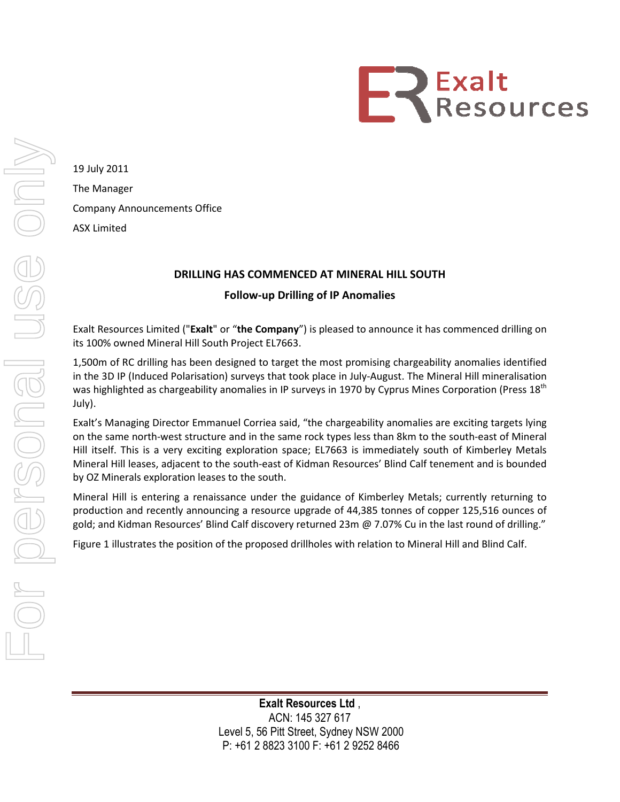

19 July 2011 The Manager Company Announcements Office ASX Limited

## DRILLING HAS COMMENCED AT MINERAL HILL SOUTH

## Follow Follow-up Drilling of IP Anomalies

Exalt Resources Limited ("Exalt" or "the Company") is pleased to announce it has commenced drilling on its 100% owned Mineral Hill South Project EL7663.

its 100% owned Mineral Hill South Project EL7663.<br>1,500m of RC drilling has been designed to target the most promising chargeability anomalies identified in the 3D IP (Induced Polarisation) surveys that took place in July-August. The Mineral Hill mineralisation was highlighted as chargeability anomalies in IP surveys in 1970 by Cyprus Mines Corporation (Press 18<sup>th</sup> July).

Exalt's Managing Director Emmanuel Corriea said, "the chargeability anomalies are exciting targets lying on the same north-west structure and in the same rock types less than 8km to the south-east of Mineral Hill itself. This is a very exciting exploration space; EL7663 is immediately south of Kimberley Metals Mineral Hill leases, adjacent to the south-east of Kidman Resources' Blind Calf tenement and is bounded by OZ Minerals exploration leases to the south. HAS COMMENCED AT MINERAL HILL SOUTH<br>
Follow-up Drilling of IP Anomalies<br>
or "the Company") is pleased to announce it has c<br>
h Project EL7663.<br>
Signed to target the most promising chargeability<br>
) surveys that took place in 19 July 2011<br>
The Marager<br>
Company Announcements Office<br>
ASX Limited<br>
ASX Limited<br>
ISON increases the control of the Company Drilling of IP Anomalies<br>
For the Company Drilling of IP Anomalies<br>
Its 100% owned Mineral Hill S

by OZ Minerals exploration leases to the south.<br>Mineral Hill is entering a renaissance under the guidance of Kimberley Metals; currently returning to production and recently announcing a resource upgrade of 44,385 tonnes of copper 125,516 ounces of gold; and Kidman Resources' Blind Calf discovery returned 23m @ 7.07% Cu in the last round of drilling."

gold; and Kidman Resources' Blind Calf discovery returned 23m @ 7.07% Cu in the last round of drillir<br>Figure 1 illustrates the position of the proposed drillholes with relation to Mineral Hill and Blind Calf.

Level 5, 56 Pitt Street, Sydney NSW 2000 2000 P: +61 2 8823 3100 F: +61 2 9252 8466 Exalt Resources Ltd , ACN: 145 327 617